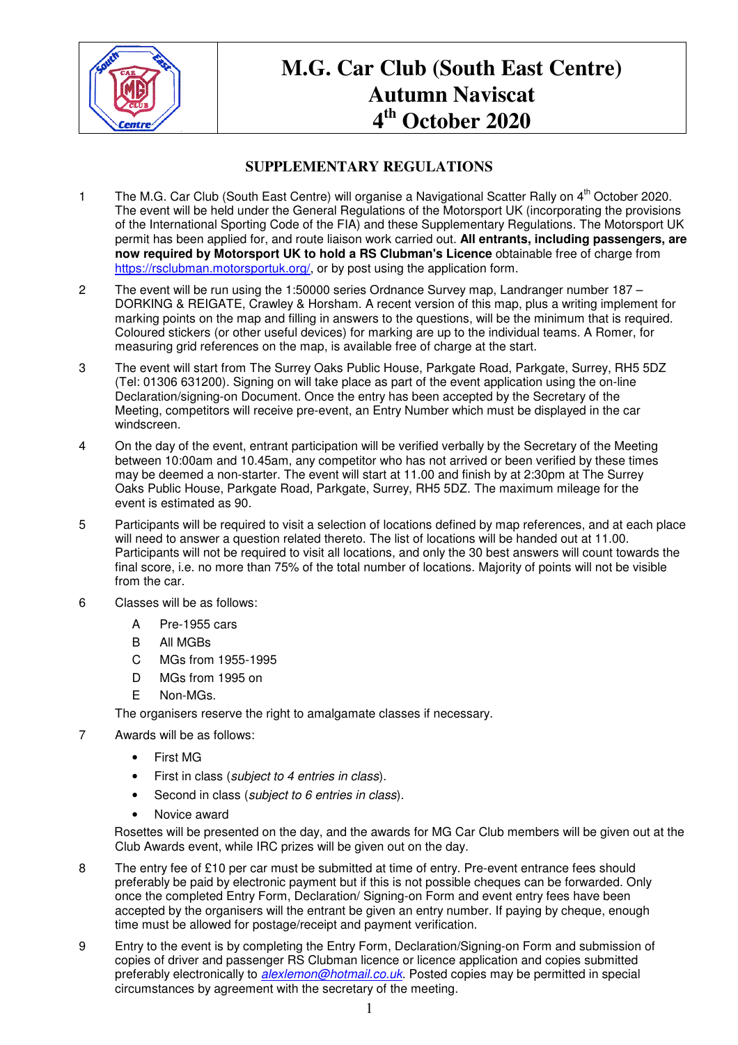

## **M.G. Car Club (South East Centre) Autumn Naviscat 4 th October 2020**

## **SUPPLEMENTARY REGULATIONS**

- 1 The M.G. Car Club (South East Centre) will organise a Navigational Scatter Rally on 4<sup>th</sup> October 2020. The event will be held under the General Regulations of the Motorsport UK (incorporating the provisions of the International Sporting Code of the FIA) and these Supplementary Regulations. The Motorsport UK permit has been applied for, and route liaison work carried out. **All entrants, including passengers, are now required by Motorsport UK to hold a RS Clubman's Licence** obtainable free of charge from https://rsclubman.motorsportuk.org/, or by post using the application form.
- 2 The event will be run using the 1:50000 series Ordnance Survey map, Landranger number 187 DORKING & REIGATE, Crawley & Horsham. A recent version of this map, plus a writing implement for marking points on the map and filling in answers to the questions, will be the minimum that is required. Coloured stickers (or other useful devices) for marking are up to the individual teams. A Romer, for measuring grid references on the map, is available free of charge at the start.
- 3 The event will start from The Surrey Oaks Public House, Parkgate Road, Parkgate, Surrey, RH5 5DZ (Tel: 01306 631200). Signing on will take place as part of the event application using the on-line Declaration/signing-on Document. Once the entry has been accepted by the Secretary of the Meeting, competitors will receive pre-event, an Entry Number which must be displayed in the car windscreen.
- 4 On the day of the event, entrant participation will be verified verbally by the Secretary of the Meeting between 10:00am and 10.45am, any competitor who has not arrived or been verified by these times may be deemed a non-starter. The event will start at 11.00 and finish by at 2:30pm at The Surrey Oaks Public House, Parkgate Road, Parkgate, Surrey, RH5 5DZ. The maximum mileage for the event is estimated as 90.
- 5 Participants will be required to visit a selection of locations defined by map references, and at each place will need to answer a question related thereto. The list of locations will be handed out at 11.00. Participants will not be required to visit all locations, and only the 30 best answers will count towards the final score, i.e. no more than 75% of the total number of locations. Majority of points will not be visible from the car.
- 6 Classes will be as follows:
	- A Pre-1955 cars
	- B All MGBs
	- C MGs from 1955-1995
	- D MGs from 1995 on
	- E Non-MGs.

The organisers reserve the right to amalgamate classes if necessary.

- 7 Awards will be as follows:
	- First MG
	- First in class (subject to 4 entries in class).
	- Second in class (subject to 6 entries in class).
	- Novice award

Rosettes will be presented on the day, and the awards for MG Car Club members will be given out at the Club Awards event, while IRC prizes will be given out on the day.

- 8 The entry fee of £10 per car must be submitted at time of entry. Pre-event entrance fees should preferably be paid by electronic payment but if this is not possible cheques can be forwarded. Only once the completed Entry Form, Declaration/ Signing-on Form and event entry fees have been accepted by the organisers will the entrant be given an entry number. If paying by cheque, enough time must be allowed for postage/receipt and payment verification.
- 9 Entry to the event is by completing the Entry Form, Declaration/Signing-on Form and submission of copies of driver and passenger RS Clubman licence or licence application and copies submitted preferably electronically to *alexlemon@hotmail.co.uk*. Posted copies may be permitted in special circumstances by agreement with the secretary of the meeting.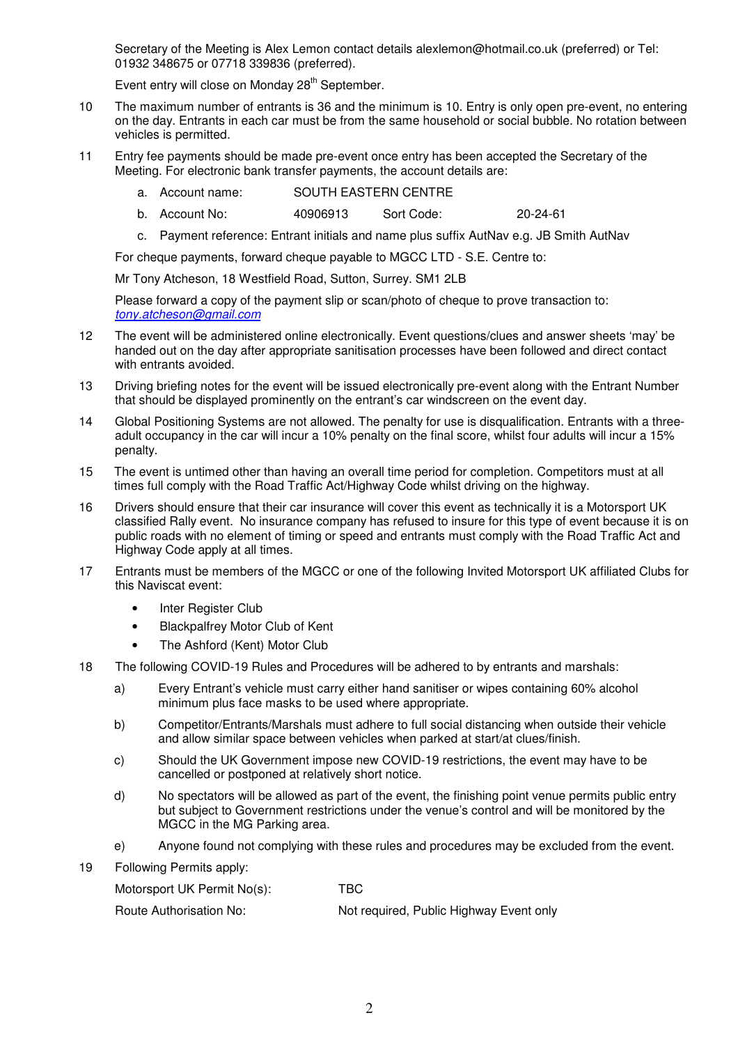Secretary of the Meeting is Alex Lemon contact details alexlemon@hotmail.co.uk (preferred) or Tel: 01932 348675 or 07718 339836 (preferred).

Event entry will close on Monday 28<sup>th</sup> September.

- 10 The maximum number of entrants is 36 and the minimum is 10. Entry is only open pre-event, no entering on the day. Entrants in each car must be from the same household or social bubble. No rotation between vehicles is permitted.
- 11 Entry fee payments should be made pre-event once entry has been accepted the Secretary of the Meeting. For electronic bank transfer payments, the account details are:
	- a. Account name: SOUTH EASTERN CENTRE
	- b. Account No: 40906913 Sort Code: 20-24-61
	- c. Payment reference: Entrant initials and name plus suffix AutNav e.g. JB Smith AutNav

For cheque payments, forward cheque payable to MGCC LTD - S.E. Centre to:

Mr Tony Atcheson, 18 Westfield Road, Sutton, Surrey. SM1 2LB

Please forward a copy of the payment slip or scan/photo of cheque to prove transaction to: tony.atcheson@gmail.com

- 12 The event will be administered online electronically. Event questions/clues and answer sheets 'may' be handed out on the day after appropriate sanitisation processes have been followed and direct contact with entrants avoided.
- 13 Driving briefing notes for the event will be issued electronically pre-event along with the Entrant Number that should be displayed prominently on the entrant's car windscreen on the event day.
- 14 Global Positioning Systems are not allowed. The penalty for use is disqualification. Entrants with a threeadult occupancy in the car will incur a 10% penalty on the final score, whilst four adults will incur a 15% penalty.
- 15 The event is untimed other than having an overall time period for completion. Competitors must at all times full comply with the Road Traffic Act/Highway Code whilst driving on the highway.
- 16 Drivers should ensure that their car insurance will cover this event as technically it is a Motorsport UK classified Rally event. No insurance company has refused to insure for this type of event because it is on public roads with no element of timing or speed and entrants must comply with the Road Traffic Act and Highway Code apply at all times.
- 17 Entrants must be members of the MGCC or one of the following Invited Motorsport UK affiliated Clubs for this Naviscat event:
	- Inter Register Club
	- Blackpalfrey Motor Club of Kent
	- The Ashford (Kent) Motor Club
- 18 The following COVID-19 Rules and Procedures will be adhered to by entrants and marshals:
	- a) Every Entrant's vehicle must carry either hand sanitiser or wipes containing 60% alcohol minimum plus face masks to be used where appropriate.
	- b) Competitor/Entrants/Marshals must adhere to full social distancing when outside their vehicle and allow similar space between vehicles when parked at start/at clues/finish.
	- c) Should the UK Government impose new COVID-19 restrictions, the event may have to be cancelled or postponed at relatively short notice.
	- d) No spectators will be allowed as part of the event, the finishing point venue permits public entry but subject to Government restrictions under the venue's control and will be monitored by the MGCC in the MG Parking area.
	- e) Anyone found not complying with these rules and procedures may be excluded from the event.
- 19 Following Permits apply:

| Motorsport UK Permit No(s): | TBC                                     |
|-----------------------------|-----------------------------------------|
| Route Authorisation No:     | Not required, Public Highway Event only |